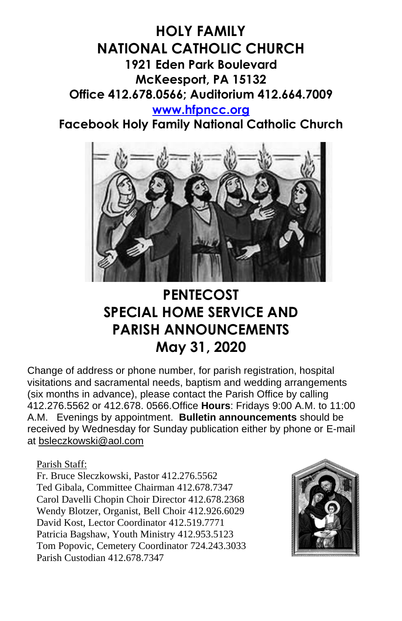

**Facebook Holy Family National Catholic Church**



## **PENTECOST SPECIAL HOME SERVICE AND PARISH ANNOUNCEMENTS May 31, 2020**

Change of address or phone number, for parish registration, hospital visitations and sacramental needs, baptism and wedding arrangements (six months in advance), please contact the Parish Office by calling 412.276.5562 or 412.678. 0566.Office **Hours**: Fridays 9:00 A.M. to 11:00 A.M. Evenings by appointment. **Bulletin announcements** should be received by Wednesday for Sunday publication either by phone or E-mail at [bsleczkowski@aol.com](mailto:bsleczkowski@aol.com)

Parish Staff:

Fr. Bruce Sleczkowski, Pastor 412.276.5562 Ted Gibala, Committee Chairman 412.678.7347 Carol Davelli Chopin Choir Director 412.678.2368 Wendy Blotzer, Organist, Bell Choir 412.926.6029 David Kost, Lector Coordinator 412.519.7771 Patricia Bagshaw, Youth Ministry 412.953.5123 Tom Popovic, Cemetery Coordinator 724.243.3033 Parish Custodian 412.678.7347

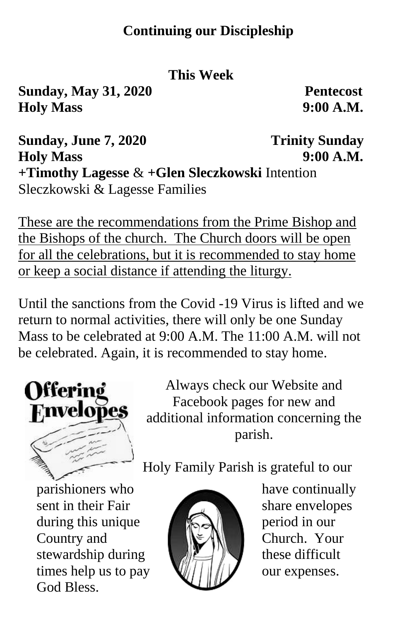#### **Continuing our Discipleship**

#### **This Week**

**Sunday, May 31, 2020 Pentecost Holy Mass 9:00 A.M.**

**Sunday, June 7, 2020** Trinity Sunday **Holy Mass 9:00 A.M. +Timothy Lagesse** & **+Glen Sleczkowski** Intention Sleczkowski & Lagesse Families

These are the recommendations from the Prime Bishop and the Bishops of the church. The Church doors will be open for all the celebrations, but it is recommended to stay home or keep a social distance if attending the liturgy.

Until the sanctions from the Covid -19 Virus is lifted and we return to normal activities, there will only be one Sunday Mass to be celebrated at 9:00 A.M. The 11:00 A.M. will not be celebrated. Again, it is recommended to stay home.



Always check our Website and Facebook pages for new and additional information concerning the parish.

Holy Family Parish is grateful to our

sent in their Fair share envelopes during this unique  $\left| \bigotimes_{n=1}^{\infty} \right|$  period in our Country and **Church.** Your stewardship during  $\left\| \mathbf{u} \right\|$  these difficult times help us to pay  $\mathbb{Q}/\mathbb{Z}/\mathbb{Z}$  our expenses. God Bless.



parishioners who have continually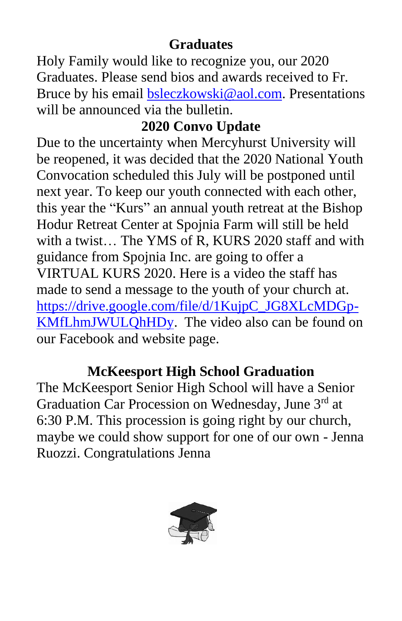## **Graduates**

Holy Family would like to recognize you, our 2020 Graduates. Please send bios and awards received to Fr. Bruce by his email **bsleczkowski@aol.com**. Presentations will be announced via the bulletin.

## **2020 Convo Update**

Due to the uncertainty when Mercyhurst University will be reopened, it was decided that the 2020 National Youth Convocation scheduled this July will be postponed until next year. To keep our youth connected with each other, this year the "Kurs" an annual youth retreat at the Bishop Hodur Retreat Center at Spojnia Farm will still be held with a twist… The YMS of R, KURS 2020 staff and with guidance from Spojnia Inc. are going to offer a VIRTUAL KURS 2020. Here is a video the staff has made to send a message to the youth of your church at. [https://drive.google.com/file/d/1KujpC\\_JG8XLcMDGp-](https://drive.google.com/file/d/1KujpC_JG8XLcMDGp-KMfLhmJWULQhHDy)[KMfLhmJWULQhHDy.](https://drive.google.com/file/d/1KujpC_JG8XLcMDGp-KMfLhmJWULQhHDy) The video also can be found on our Facebook and website page.

## **McKeesport High School Graduation**

The McKeesport Senior High School will have a Senior Graduation Car Procession on Wednesday, June 3rd at 6:30 P.M. This procession is going right by our church, maybe we could show support for one of our own - Jenna Ruozzi. Congratulations Jenna

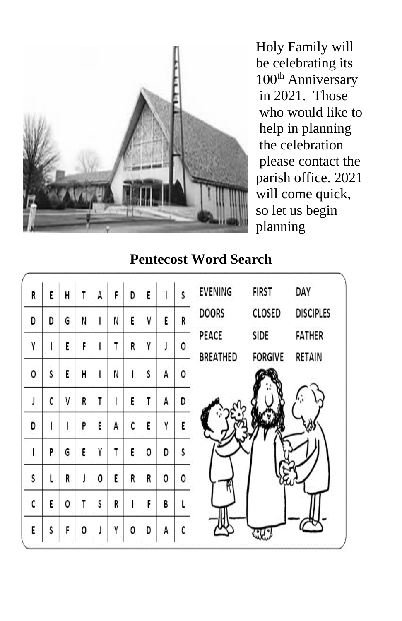

Holy Family will be celebrating its 100<sup>th</sup> Anniversary in 2021. Those who would like to help in planning the celebration please contact the parish office. 2021 will come quick, so let us begin planning

#### **Pentecost Word Search**

| R | E | H | T  | A | F | D | Ë |   | Ś | <b>EVENING</b>  | <b>FIRST</b>   | DAY              |
|---|---|---|----|---|---|---|---|---|---|-----------------|----------------|------------------|
| D | D | G | N  | ı | N | E | V | E | R | <b>DOORS</b>    | CLOSED         | <b>DISCIPLES</b> |
| Y |   | E | F. | ı | T | R | γ | J | ٥ | PEACE           | SIDE           | <b>FATHER</b>    |
| 0 | S | E | H  | ł | N |   | Ś | A | ٥ | <b>BREATHED</b> | <b>FORGIVE</b> | RETAIN           |
|   | C | V | R  | T |   | E | T | A | D |                 |                |                  |
| D |   | ı | P  | E | А | C | E | Y | E |                 |                |                  |
|   | P | G | E  | Y | T | E | ٥ | D |   |                 |                |                  |
| S |   | R | J  | 0 | E | R | R | 0 | ٥ |                 |                |                  |
| C | E | 0 | T  | S | R |   | F | B |   |                 |                |                  |
| E | S | F | 0  | J | Y | ٥ | D | A | C |                 |                |                  |